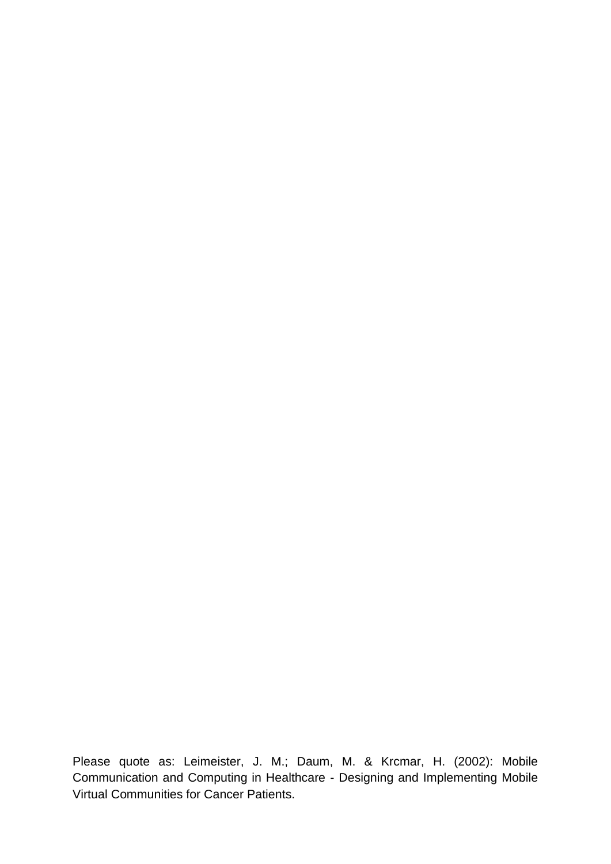Please quote as: Leimeister, J. M.; Daum, M. & Krcmar, H. (2002): Mobile Communication and Computing in Healthcare - Designing and Implementing Mobile Virtual Communities for Cancer Patients.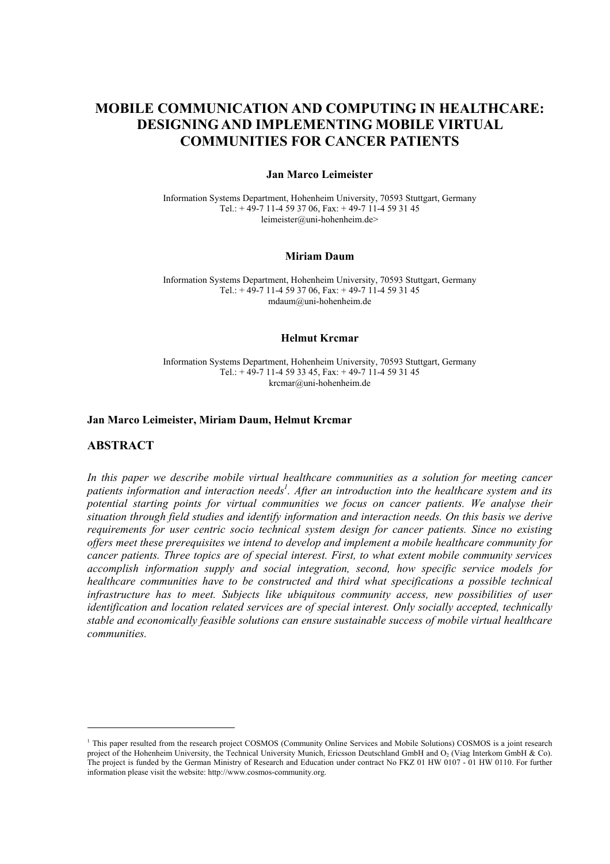# **MOBILE COMMUNICATION AND COMPUTING IN HEALTHCARE: DESIGNING AND IMPLEMENTING MOBILE VIRTUAL COMMUNITIES FOR CANCER PATIENTS**

### **Jan Marco Leimeister**

Information Systems Department, Hohenheim University, 70593 Stuttgart, Germany Tel.:  $+49-7$  11-4 59 37 06, Fax:  $+49-7$  11-4 59 31 45 leimeister@uni-hohenheim.de>

#### **Miriam Daum**

Information Systems Department, Hohenheim University, 70593 Stuttgart, Germany Tel.:  $+49-7$  11-4 59 37 06, Fax:  $+49-7$  11-4 59 31 45 mdaum@uni-hohenheim.de

### **Helmut Krcmar**

Information Systems Department, Hohenheim University, 70593 Stuttgart, Germany Tel.:  $+49-7$  11-4 59 33 45, Fax:  $+49-7$  11-4 59 31 45 krcmar@uni-hohenheim.de

### **Jan Marco Leimeister, Miriam Daum, Helmut Krcmar**

### **ABSTRACT**

 $\overline{a}$ 

*In this paper we describe mobile virtual healthcare communities as a solution for meeting cancer*  patients information and interaction needs<sup>1</sup>. After an introduction into the healthcare system and its *potential starting points for virtual communities we focus on cancer patients. We analyse their situation through field studies and identify information and interaction needs. On this basis we derive requirements for user centric socio technical system design for cancer patients. Since no existing offers meet these prerequisites we intend to develop and implement a mobile healthcare community for cancer patients. Three topics are of special interest. First, to what extent mobile community services accomplish information supply and social integration, second, how specific service models for healthcare communities have to be constructed and third what specifications a possible technical infrastructure has to meet. Subjects like ubiquitous community access, new possibilities of user identification and location related services are of special interest. Only socially accepted, technically stable and economically feasible solutions can ensure sustainable success of mobile virtual healthcare communities.* 

<sup>&</sup>lt;sup>1</sup> This paper resulted from the research project COSMOS (Community Online Services and Mobile Solutions) COSMOS is a joint research project of the Hohenheim University, the Technical University Munich, Ericsson Deutschland GmbH and  $O_2$  (Viag Interkom GmbH  $\&$  Co). The project is funded by the German Ministry of Research and Education under contract No FKZ 01 HW 0107 - 01 HW 0110. For further information please visit the website: http://www.cosmos-community.org.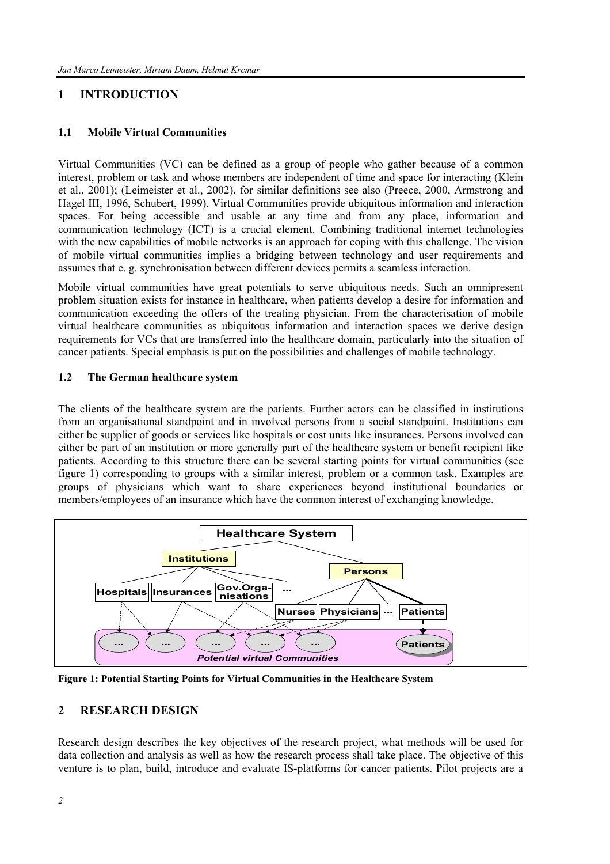# **1 INTRODUCTION**

### **1.1 Mobile Virtual Communities**

Virtual Communities (VC) can be defined as a group of people who gather because of a common interest, problem or task and whose members are independent of time and space for interacting (Klein et al., 2001); (Leimeister et al., 2002), for similar definitions see also (Preece, 2000, Armstrong and Hagel III, 1996, Schubert, 1999). Virtual Communities provide ubiquitous information and interaction spaces. For being accessible and usable at any time and from any place, information and communication technology (ICT) is a crucial element. Combining traditional internet technologies with the new capabilities of mobile networks is an approach for coping with this challenge. The vision of mobile virtual communities implies a bridging between technology and user requirements and assumes that e. g. synchronisation between different devices permits a seamless interaction.

Mobile virtual communities have great potentials to serve ubiquitous needs. Such an omnipresent problem situation exists for instance in healthcare, when patients develop a desire for information and communication exceeding the offers of the treating physician. From the characterisation of mobile virtual healthcare communities as ubiquitous information and interaction spaces we derive design requirements for VCs that are transferred into the healthcare domain, particularly into the situation of cancer patients. Special emphasis is put on the possibilities and challenges of mobile technology.

### **1.2 The German healthcare system**

The clients of the healthcare system are the patients. Further actors can be classified in institutions from an organisational standpoint and in involved persons from a social standpoint. Institutions can either be supplier of goods or services like hospitals or cost units like insurances. Persons involved can either be part of an institution or more generally part of the healthcare system or benefit recipient like patients. According to this structure there can be several starting points for virtual communities (see figure 1) corresponding to groups with a similar interest, problem or a common task. Examples are groups of physicians which want to share experiences beyond institutional boundaries or members/employees of an insurance which have the common interest of exchanging knowledge.



**Figure 1: Potential Starting Points for Virtual Communities in the Healthcare System** 

## **2 RESEARCH DESIGN**

Research design describes the key objectives of the research project, what methods will be used for data collection and analysis as well as how the research process shall take place. The objective of this venture is to plan, build, introduce and evaluate IS-platforms for cancer patients. Pilot projects are a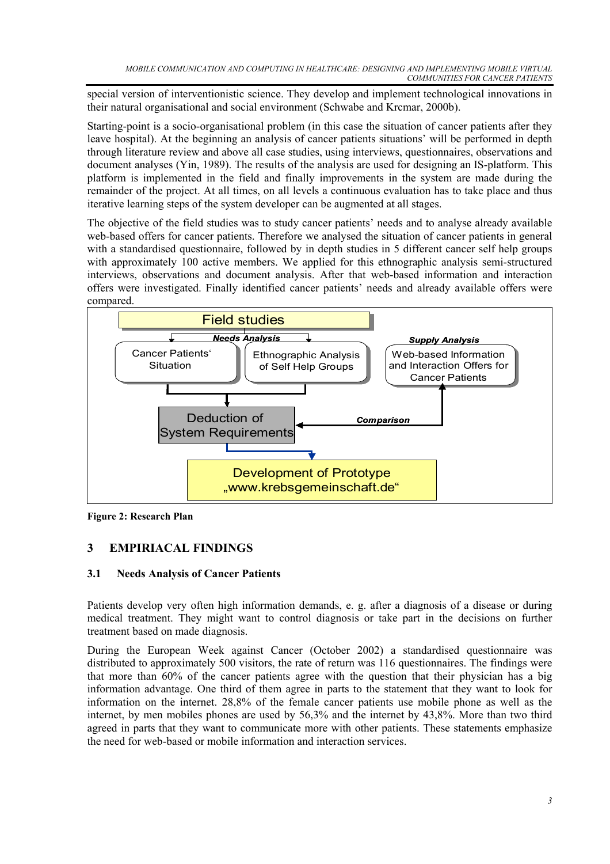special version of interventionistic science. They develop and implement technological innovations in their natural organisational and social environment (Schwabe and Krcmar, 2000b).

Starting-point is a socio-organisational problem (in this case the situation of cancer patients after they leave hospital). At the beginning an analysis of cancer patients situations' will be performed in depth through literature review and above all case studies, using interviews, questionnaires, observations and document analyses (Yin, 1989). The results of the analysis are used for designing an IS-platform. This platform is implemented in the field and finally improvements in the system are made during the remainder of the project. At all times, on all levels a continuous evaluation has to take place and thus iterative learning steps of the system developer can be augmented at all stages.

The objective of the field studies was to study cancer patients' needs and to analyse already available web-based offers for cancer patients. Therefore we analysed the situation of cancer patients in general with a standardised questionnaire, followed by in depth studies in 5 different cancer self help groups with approximately 100 active members. We applied for this ethnographic analysis semi-structured interviews, observations and document analysis. After that web-based information and interaction offers were investigated. Finally identified cancer patients' needs and already available offers were compared.



**Figure 2: Research Plan** 

# **3 EMPIRIACAL FINDINGS**

# **3.1 Needs Analysis of Cancer Patients**

Patients develop very often high information demands, e. g. after a diagnosis of a disease or during medical treatment. They might want to control diagnosis or take part in the decisions on further treatment based on made diagnosis.

During the European Week against Cancer (October 2002) a standardised questionnaire was distributed to approximately 500 visitors, the rate of return was 116 questionnaires. The findings were that more than 60% of the cancer patients agree with the question that their physician has a big information advantage. One third of them agree in parts to the statement that they want to look for information on the internet. 28,8% of the female cancer patients use mobile phone as well as the internet, by men mobiles phones are used by 56,3% and the internet by 43,8%. More than two third agreed in parts that they want to communicate more with other patients. These statements emphasize the need for web-based or mobile information and interaction services.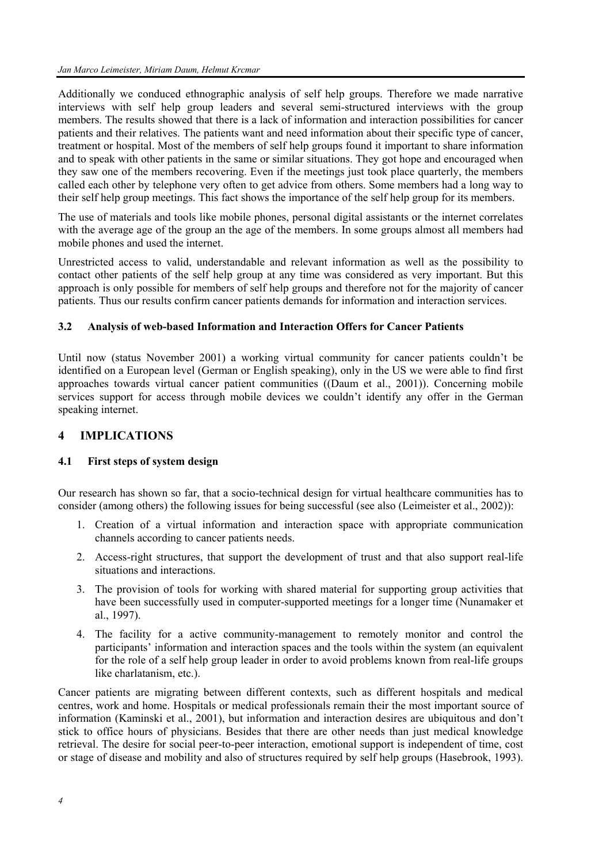Additionally we conduced ethnographic analysis of self help groups. Therefore we made narrative interviews with self help group leaders and several semi-structured interviews with the group members. The results showed that there is a lack of information and interaction possibilities for cancer patients and their relatives. The patients want and need information about their specific type of cancer, treatment or hospital. Most of the members of self help groups found it important to share information and to speak with other patients in the same or similar situations. They got hope and encouraged when they saw one of the members recovering. Even if the meetings just took place quarterly, the members called each other by telephone very often to get advice from others. Some members had a long way to their self help group meetings. This fact shows the importance of the self help group for its members.

The use of materials and tools like mobile phones, personal digital assistants or the internet correlates with the average age of the group an the age of the members. In some groups almost all members had mobile phones and used the internet.

Unrestricted access to valid, understandable and relevant information as well as the possibility to contact other patients of the self help group at any time was considered as very important. But this approach is only possible for members of self help groups and therefore not for the majority of cancer patients. Thus our results confirm cancer patients demands for information and interaction services.

### **3.2 Analysis of web-based Information and Interaction Offers for Cancer Patients**

Until now (status November 2001) a working virtual community for cancer patients couldn't be identified on a European level (German or English speaking), only in the US we were able to find first approaches towards virtual cancer patient communities ((Daum et al., 2001)). Concerning mobile services support for access through mobile devices we couldn't identify any offer in the German speaking internet.

## **4 IMPLICATIONS**

## **4.1 First steps of system design**

Our research has shown so far, that a socio-technical design for virtual healthcare communities has to consider (among others) the following issues for being successful (see also (Leimeister et al., 2002)):

- 1. Creation of a virtual information and interaction space with appropriate communication channels according to cancer patients needs.
- 2. Access-right structures, that support the development of trust and that also support real-life situations and interactions.
- 3. The provision of tools for working with shared material for supporting group activities that have been successfully used in computer-supported meetings for a longer time (Nunamaker et al., 1997).
- 4. The facility for a active community-management to remotely monitor and control the participants' information and interaction spaces and the tools within the system (an equivalent for the role of a self help group leader in order to avoid problems known from real-life groups like charlatanism, etc.).

Cancer patients are migrating between different contexts, such as different hospitals and medical centres, work and home. Hospitals or medical professionals remain their the most important source of information (Kaminski et al., 2001), but information and interaction desires are ubiquitous and don't stick to office hours of physicians. Besides that there are other needs than just medical knowledge retrieval. The desire for social peer-to-peer interaction, emotional support is independent of time, cost or stage of disease and mobility and also of structures required by self help groups (Hasebrook, 1993).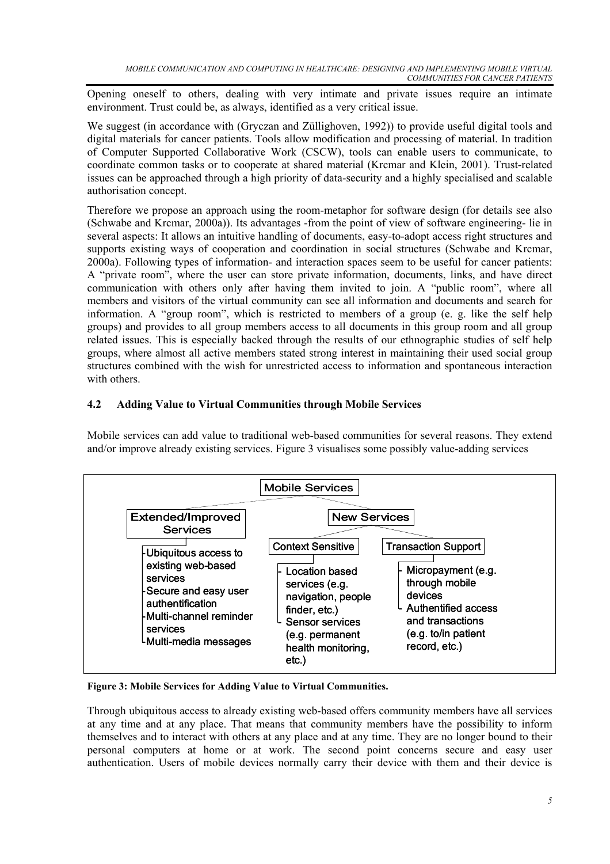Opening oneself to others, dealing with very intimate and private issues require an intimate environment. Trust could be, as always, identified as a very critical issue.

We suggest (in accordance with (Gryczan and Züllighoven, 1992)) to provide useful digital tools and digital materials for cancer patients. Tools allow modification and processing of material. In tradition of Computer Supported Collaborative Work (CSCW), tools can enable users to communicate, to coordinate common tasks or to cooperate at shared material (Krcmar and Klein, 2001). Trust-related issues can be approached through a high priority of data-security and a highly specialised and scalable authorisation concept.

Therefore we propose an approach using the room-metaphor for software design (for details see also (Schwabe and Krcmar, 2000a)). Its advantages -from the point of view of software engineering- lie in several aspects: It allows an intuitive handling of documents, easy-to-adopt access right structures and supports existing ways of cooperation and coordination in social structures (Schwabe and Krcmar, 2000a). Following types of information- and interaction spaces seem to be useful for cancer patients: A "private room", where the user can store private information, documents, links, and have direct communication with others only after having them invited to join. A "public room", where all members and visitors of the virtual community can see all information and documents and search for information. A "group room", which is restricted to members of a group (e. g. like the self help groups) and provides to all group members access to all documents in this group room and all group related issues. This is especially backed through the results of our ethnographic studies of self help groups, where almost all active members stated strong interest in maintaining their used social group structures combined with the wish for unrestricted access to information and spontaneous interaction with others.

# **4.2 Adding Value to Virtual Communities through Mobile Services**

Mobile services can add value to traditional web-based communities for several reasons. They extend and/or improve already existing services. Figure 3 visualises some possibly value-adding services



**Figure 3: Mobile Services for Adding Value to Virtual Communities.** 

Through ubiquitous access to already existing web-based offers community members have all services at any time and at any place. That means that community members have the possibility to inform themselves and to interact with others at any place and at any time. They are no longer bound to their personal computers at home or at work. The second point concerns secure and easy user authentication. Users of mobile devices normally carry their device with them and their device is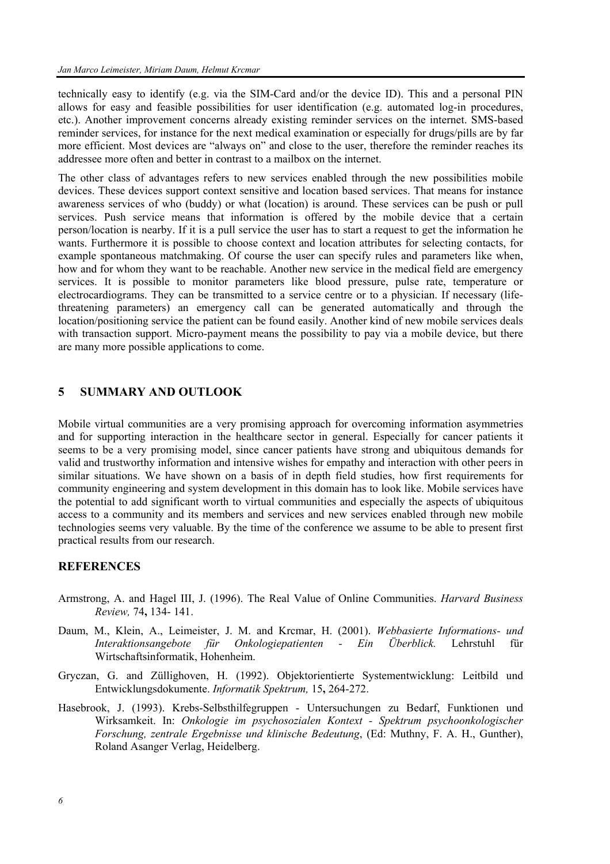technically easy to identify (e.g. via the SIM-Card and/or the device ID). This and a personal PIN allows for easy and feasible possibilities for user identification (e.g. automated log-in procedures, etc.). Another improvement concerns already existing reminder services on the internet. SMS-based reminder services, for instance for the next medical examination or especially for drugs/pills are by far more efficient. Most devices are "always on" and close to the user, therefore the reminder reaches its addressee more often and better in contrast to a mailbox on the internet.

The other class of advantages refers to new services enabled through the new possibilities mobile devices. These devices support context sensitive and location based services. That means for instance awareness services of who (buddy) or what (location) is around. These services can be push or pull services. Push service means that information is offered by the mobile device that a certain person/location is nearby. If it is a pull service the user has to start a request to get the information he wants. Furthermore it is possible to choose context and location attributes for selecting contacts, for example spontaneous matchmaking. Of course the user can specify rules and parameters like when, how and for whom they want to be reachable. Another new service in the medical field are emergency services. It is possible to monitor parameters like blood pressure, pulse rate, temperature or electrocardiograms. They can be transmitted to a service centre or to a physician. If necessary (lifethreatening parameters) an emergency call can be generated automatically and through the location/positioning service the patient can be found easily. Another kind of new mobile services deals with transaction support. Micro-payment means the possibility to pay via a mobile device, but there are many more possible applications to come.

### **5 SUMMARY AND OUTLOOK**

Mobile virtual communities are a very promising approach for overcoming information asymmetries and for supporting interaction in the healthcare sector in general. Especially for cancer patients it seems to be a very promising model, since cancer patients have strong and ubiquitous demands for valid and trustworthy information and intensive wishes for empathy and interaction with other peers in similar situations. We have shown on a basis of in depth field studies, how first requirements for community engineering and system development in this domain has to look like. Mobile services have the potential to add significant worth to virtual communities and especially the aspects of ubiquitous access to a community and its members and services and new services enabled through new mobile technologies seems very valuable. By the time of the conference we assume to be able to present first practical results from our research.

### **REFERENCES**

- Armstrong, A. and Hagel III, J. (1996). The Real Value of Online Communities. *Harvard Business Review,* 74**,** 134- 141.
- Daum, M., Klein, A., Leimeister, J. M. and Krcmar, H. (2001). *Webbasierte Informations- und Interaktionsangebote für Onkologiepatienten - Ein Überblick.* Lehrstuhl für Wirtschaftsinformatik, Hohenheim.
- Gryczan, G. and Züllighoven, H. (1992). Objektorientierte Systementwicklung: Leitbild und Entwicklungsdokumente. *Informatik Spektrum,* 15**,** 264-272.
- Hasebrook, J. (1993). Krebs-Selbsthilfegruppen Untersuchungen zu Bedarf, Funktionen und Wirksamkeit. In: *Onkologie im psychosozialen Kontext - Spektrum psychoonkologischer Forschung, zentrale Ergebnisse und klinische Bedeutung*, (Ed: Muthny, F. A. H., Gunther), Roland Asanger Verlag, Heidelberg.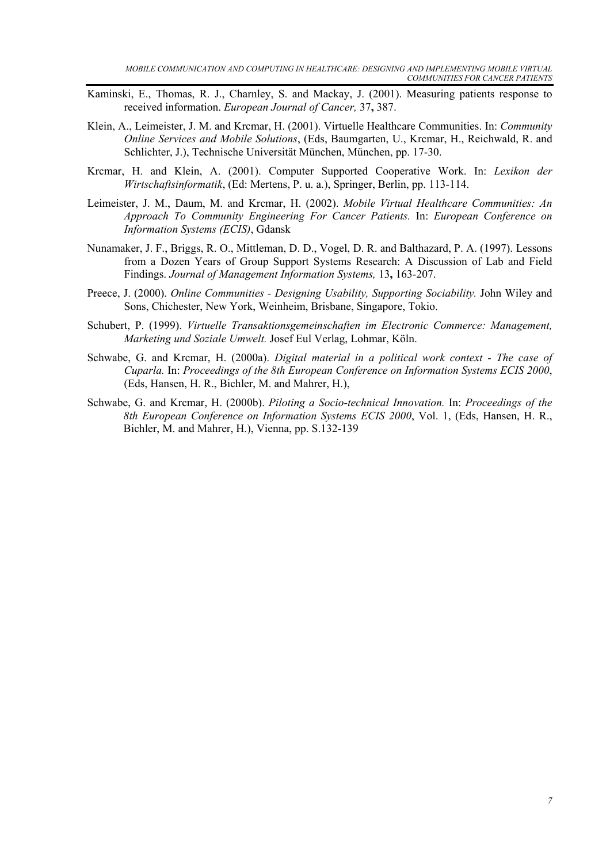- Kaminski, E., Thomas, R. J., Charnley, S. and Mackay, J. (2001). Measuring patients response to received information. *European Journal of Cancer,* 37**,** 387.
- Klein, A., Leimeister, J. M. and Krcmar, H. (2001). Virtuelle Healthcare Communities. In: *Community Online Services and Mobile Solutions*, (Eds, Baumgarten, U., Krcmar, H., Reichwald, R. and Schlichter, J.), Technische Universität München, München, pp. 17-30.
- Krcmar, H. and Klein, A. (2001). Computer Supported Cooperative Work. In: *Lexikon der Wirtschaftsinformatik*, (Ed: Mertens, P. u. a.), Springer, Berlin, pp. 113-114.
- Leimeister, J. M., Daum, M. and Krcmar, H. (2002). *Mobile Virtual Healthcare Communities: An Approach To Community Engineering For Cancer Patients.* In: *European Conference on Information Systems (ECIS)*, Gdansk
- Nunamaker, J. F., Briggs, R. O., Mittleman, D. D., Vogel, D. R. and Balthazard, P. A. (1997). Lessons from a Dozen Years of Group Support Systems Research: A Discussion of Lab and Field Findings. *Journal of Management Information Systems,* 13**,** 163-207.
- Preece, J. (2000). *Online Communities Designing Usability, Supporting Sociability*. John Wiley and Sons, Chichester, New York, Weinheim, Brisbane, Singapore, Tokio.
- Schubert, P. (1999). *Virtuelle Transaktionsgemeinschaften im Electronic Commerce: Management, Marketing und Soziale Umwelt.* Josef Eul Verlag, Lohmar, Köln.
- Schwabe, G. and Krcmar, H. (2000a). *Digital material in a political work context The case of Cuparla.* In: *Proceedings of the 8th European Conference on Information Systems ECIS 2000*, (Eds, Hansen, H. R., Bichler, M. and Mahrer, H.),
- Schwabe, G. and Krcmar, H. (2000b). *Piloting a Socio-technical Innovation.* In: *Proceedings of the 8th European Conference on Information Systems ECIS 2000*, Vol. 1, (Eds, Hansen, H. R., Bichler, M. and Mahrer, H.), Vienna, pp. S.132-139